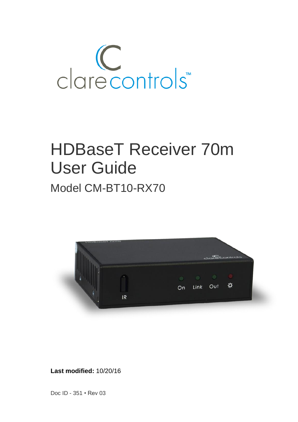

# HDBaseT Receiver 70m User Guide Model CM-BT10-RX70



**Last modified:** 10/20/16

Doc ID - 351 • Rev 03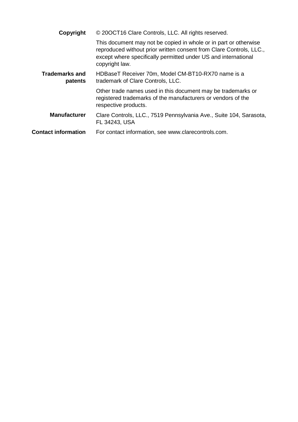| Copyright                        | © 200CT16 Clare Controls, LLC. All rights reserved.                                                                                                                                                                         |
|----------------------------------|-----------------------------------------------------------------------------------------------------------------------------------------------------------------------------------------------------------------------------|
|                                  | This document may not be copied in whole or in part or otherwise<br>reproduced without prior written consent from Clare Controls, LLC.,<br>except where specifically permitted under US and international<br>copyright law. |
| <b>Trademarks and</b><br>patents | HDBaseT Receiver 70m, Model CM-BT10-RX70 name is a<br>trademark of Clare Controls, LLC.                                                                                                                                     |
|                                  | Other trade names used in this document may be trademarks or<br>registered trademarks of the manufacturers or vendors of the<br>respective products.                                                                        |
| <b>Manufacturer</b>              | Clare Controls, LLC., 7519 Pennsylvania Ave., Suite 104, Sarasota,<br>FL 34243, USA                                                                                                                                         |
| <b>Contact information</b>       | For contact information, see www.clarecontrols.com.                                                                                                                                                                         |
|                                  |                                                                                                                                                                                                                             |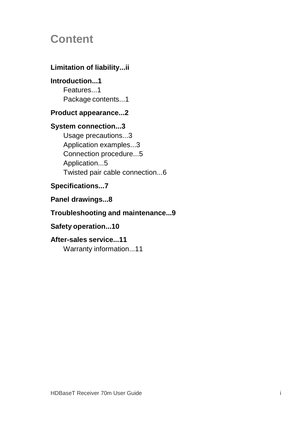## **Content**

### **Limitation of liability...ii**

**Introduction...1** Features...1 Package contents...1

#### **Product appearance...2**

### **System connection...3**

Usage precautions...3 Application examples...3 Connection procedure...5 Application...5 Twisted pair cable connection...6

### **Specifications...7**

**Panel drawings...8**

### **Troubleshooting and maintenance...9**

### **Safety operation...10**

**After-sales service...11** Warranty information...11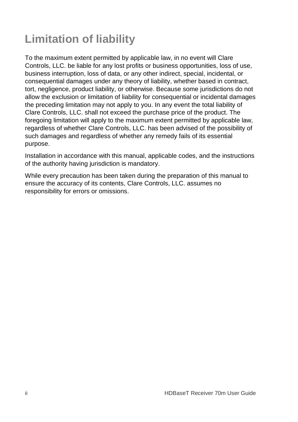## **Limitation of liability**

To the maximum extent permitted by applicable law, in no event will Clare Controls, LLC. be liable for any lost profits or business opportunities, loss of use, business interruption, loss of data, or any other indirect, special, incidental, or consequential damages under any theory of liability, whether based in contract, tort, negligence, product liability, or otherwise. Because some jurisdictions do not allow the exclusion or limitation of liability for consequential or incidental damages the preceding limitation may not apply to you. In any event the total liability of Clare Controls, LLC. shall not exceed the purchase price of the product. The foregoing limitation will apply to the maximum extent permitted by applicable law, regardless of whether Clare Controls, LLC. has been advised of the possibility of such damages and regardless of whether any remedy fails of its essential purpose.

Installation in accordance with this manual, applicable codes, and the instructions of the authority having jurisdiction is mandatory.

While every precaution has been taken during the preparation of this manual to ensure the accuracy of its contents, Clare Controls, LLC. assumes no responsibility for errors or omissions.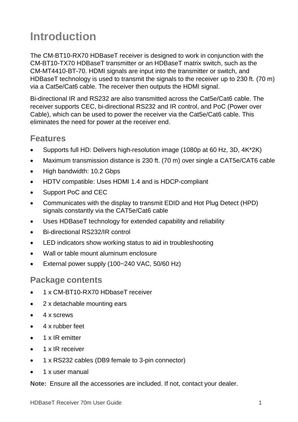## **Introduction**

The CM-BT10-RX70 HDBaseT receiver is designed to work in conjunction with the CM-BT10-TX70 HDBaseT transmitter or an HDBaseT matrix switch, such as the CM-MT4410-BT-70. HDMI signals are input into the transmitter or switch, and HDBaseT technology is used to transmit the signals to the receiver up to 230 ft. (70 m) via a Cat5e/Cat6 cable. The receiver then outputs the HDMI signal.

Bi-directional IR and RS232 are also transmitted across the Cat5e/Cat6 cable. The receiver supports CEC, bi-directional RS232 and IR control, and PoC (Power over Cable), which can be used to power the receiver via the Cat5e/Cat6 cable. This eliminates the need for power at the receiver end.

### **Features**

- Supports full HD: Delivers high-resolution image (1080p at 60 Hz, 3D, 4K\*2K)
- Maximum transmission distance is 230 ft. (70 m) over single a CAT5e/CAT6 cable
- High bandwidth: 10.2 Gbps
- HDTV compatible: Uses HDMI 1.4 and is HDCP-compliant
- Support PoC and CEC
- Communicates with the display to transmit EDID and Hot Plug Detect (HPD) signals constantly via the CAT5e/Cat6 cable
- Uses HDBaseT technology for extended capability and reliability
- Bi-directional RS232/IR control
- LED indicators show working status to aid in troubleshooting
- Wall or table mount aluminum enclosure
- External power supply (100~240 VAC, 50/60 Hz)

#### **Package contents**

- 1 x CM-BT10-RX70 HDbaseT receiver
- 2 x detachable mounting ears
- 4 x screws
- 4 x rubber feet
- 1 x IR emitter
- 1 x IR receiver
- 1 x RS232 cables (DB9 female to 3-pin connector)
- 1 x user manual

**Note:** Ensure all the accessories are included. If not, contact your dealer.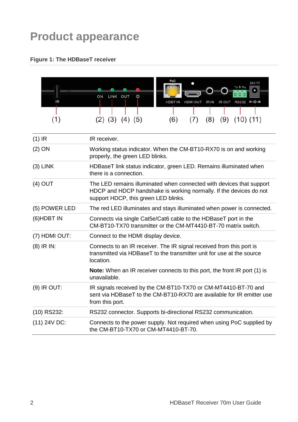## **Product appearance**

#### **Figure 1: The HDBaseT receiver**



| $(1)$ IR      | IR receiver.                                                                                                                                                                       |
|---------------|------------------------------------------------------------------------------------------------------------------------------------------------------------------------------------|
| $(2)$ ON      | Working status indicator. When the CM-BT10-RX70 is on and working<br>properly, the green LED blinks.                                                                               |
| $(3)$ LINK    | HDBaseT link status indicator, green LED. Remains illuminated when<br>there is a connection.                                                                                       |
| $(4)$ OUT     | The LED remains illuminated when connected with devices that support<br>HDCP and HDCP handshake is working normally. If the devices do not<br>support HDCP, this green LED blinks. |
| (5) POWER LED | The red LED illuminates and stays illuminated when power is connected.                                                                                                             |
| $(6)$ HDBT IN | Connects via single Cat5e/Cat6 cable to the HDBaseT port in the<br>CM-BT10-TX70 transmitter or the CM-MT4410-BT-70 matrix switch.                                                  |
| (7) HDMI OUT: | Connect to the HDMI display device.                                                                                                                                                |
| $(8)$ IR IN:  | Connects to an IR receiver. The IR signal received from this port is<br>transmitted via HDBaseT to the transmitter unit for use at the source<br>location.                         |
|               | <b>Note:</b> When an IR receiver connects to this port, the front IR port (1) is<br>unavailable.                                                                                   |
| $(9)$ IR OUT: | IR signals received by the CM-BT10-TX70 or CM-MT4410-BT-70 and<br>sent via HDBaseT to the CM-BT10-RX70 are available for IR emitter use<br>from this port.                         |
| (10) RS232:   | RS232 connector. Supports bi-directional RS232 communication.                                                                                                                      |
| (11) 24V DC:  | Connects to the power supply. Not required when using PoC supplied by<br>the CM-BT10-TX70 or CM-MT4410-BT-70.                                                                      |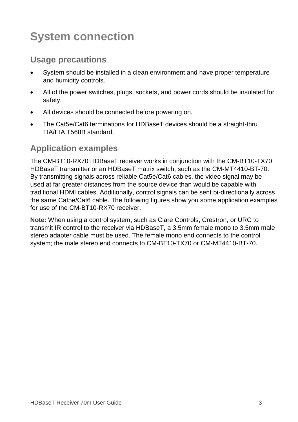## **System connection**

### **Usage precautions**

- System should be installed in a clean environment and have proper temperature and humidity controls.
- All of the power switches, plugs, sockets, and power cords should be insulated for safety.
- All devices should be connected before powering on.
- The Cat5e/Cat6 terminations for HDBaseT devices should be a straight-thru TIA/EIA T568B standard.

### **Application examples**

The CM-BT10-RX70 HDBaseT receiver works in conjunction with the CM-BT10-TX70 HDBaseT transmitter or an HDBaseT matrix switch, such as the CM-MT4410-BT-70. By transmitting signals across reliable Cat5e/Cat6 cables, the video signal may be used at far greater distances from the source device than would be capable with traditional HDMI cables. Additionally, control signals can be sent bi-directionally across the same Cat5e/Cat6 cable. The following figures show you some application examples for use of the CM-BT10-RX70 receiver.

**Note:** When using a control system, such as Clare Controls, Crestron, or URC to transmit IR control to the receiver via HDBaseT, a 3.5mm female mono to 3.5mm male stereo adapter cable must be used. The female mono end connects to the control system; the male stereo end connects to CM-BT10-TX70 or CM-MT4410-BT-70.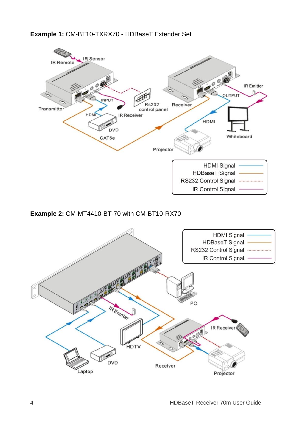#### **Example 1:** CM-BT10-TXRX70 - HDBaseT Extender Set



#### **Example 2:** CM-MT4410-BT-70 with CM-BT10-RX70

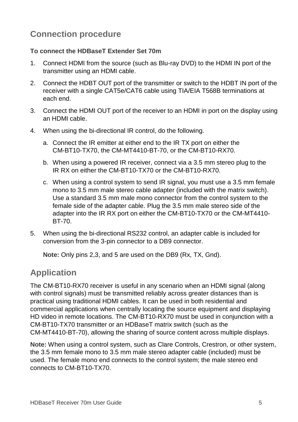## **Connection procedure**

#### **To connect the HDBaseT Extender Set 70m**

- 1. Connect HDMI from the source (such as Blu-ray DVD) to the HDMI IN port of the transmitter using an HDMI cable.
- 2. Connect the HDBT OUT port of the transmitter or switch to the HDBT IN port of the receiver with a single CAT5e/CAT6 cable using TIA/EIA T568B terminations at each end.
- 3. Connect the HDMI OUT port of the receiver to an HDMI in port on the display using an HDMI cable.
- 4. When using the bi-directional IR control, do the following.
	- a. Connect the IR emitter at either end to the IR TX port on either the CM-BT10-TX70, the CM-MT4410-BT-70, or the CM-BT10-RX70.
	- b. When using a powered IR receiver, connect via a 3.5 mm stereo plug to the IR RX on either the CM-BT10-TX70 or the CM-BT10-RX70.
	- c. When using a control system to send IR signal, you must use a 3.5 mm female mono to 3.5 mm male stereo cable adapter (included with the matrix switch). Use a standard 3.5 mm male mono connector from the control system to the female side of the adapter cable. Plug the 3.5 mm male stereo side of the adapter into the IR RX port on either the CM-BT10-TX70 or the CM-MT4410- BT-70.
- 5. When using the bi-directional RS232 control, an adapter cable is included for conversion from the 3-pin connector to a DB9 connector.

**Note:** Only pins 2,3, and 5 are used on the DB9 (Rx, TX, Gnd).

### **Application**

The CM-BT10-RX70 receiver is useful in any scenario when an HDMI signal (along with control signals) must be transmitted reliably across greater distances than is practical using traditional HDMI cables. It can be used in both residential and commercial applications when centrally locating the source equipment and displaying HD video in remote locations. The CM-BT10-RX70 must be used in conjunction with a CM-BT10-TX70 transmitter or an HDBaseT matrix switch (such as the CM-MT4410-BT-70), allowing the sharing of source content across multiple displays.

**Note:** When using a control system, such as Clare Controls, Crestron, or other system, the 3.5 mm female mono to 3.5 mm male stereo adapter cable (included) must be used. The female mono end connects to the control system; the male stereo end connects to CM-BT10-TX70.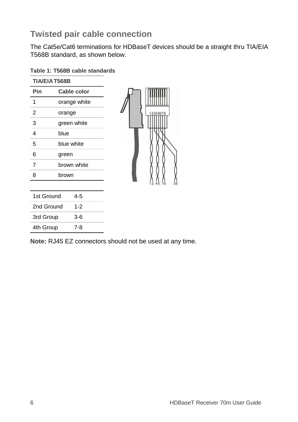## **Twisted pair cable connection**

The Cat5e/Cat6 terminations for HDBaseT devices should be a straight thru TIA/EIA T568B standard, as shown below.

| Table 1: T568B cable standards |  |  |
|--------------------------------|--|--|
|                                |  |  |

| <b>TIA/EIA T568B</b> |                    |  |  |  |
|----------------------|--------------------|--|--|--|
| Pin                  | <b>Cable color</b> |  |  |  |
| 1                    | orange white       |  |  |  |
| 2                    | orange             |  |  |  |
| 3                    | green white        |  |  |  |
| 4                    | blue               |  |  |  |
| 5                    | blue white         |  |  |  |
| 6                    | green              |  |  |  |
| 7                    | brown white        |  |  |  |
| 8                    | brown              |  |  |  |
|                      |                    |  |  |  |
| 1st Ground           | 45                 |  |  |  |
| 2nd Ground           | $1 - 2$            |  |  |  |
| 3rd Group            | 3-6                |  |  |  |
| 4th Group            | 7-8                |  |  |  |



**Note:** RJ45 EZ connectors should not be used at any time.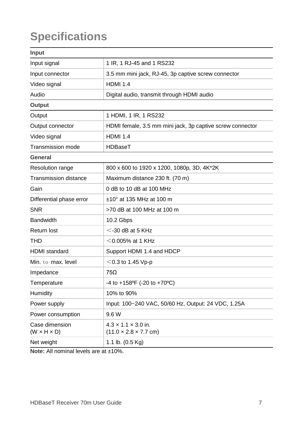## **Specifications**

| Input                                     |                                                                      |  |
|-------------------------------------------|----------------------------------------------------------------------|--|
| Input signal                              | 1 IR, 1 RJ-45 and 1 RS232                                            |  |
| Input connector                           | 3.5 mm mini jack, RJ-45, 3p captive screw connector                  |  |
| Video signal                              | <b>HDMI 1.4</b>                                                      |  |
| Audio                                     | Digital audio, transmit through HDMI audio                           |  |
| Output                                    |                                                                      |  |
| Output                                    | 1 HDMI, 1 IR, 1 RS232                                                |  |
| Output connector                          | HDMI female, 3.5 mm mini jack, 3p captive screw connector            |  |
| Video signal                              | <b>HDMI 1.4</b>                                                      |  |
| Transmission mode                         | HDBaseT                                                              |  |
| General                                   |                                                                      |  |
| Resolution range                          | 800 x 600 to 1920 x 1200, 1080p, 3D, 4K*2K                           |  |
| Transmission distance                     | Maximum distance 230 ft. (70 m)                                      |  |
| Gain                                      | 0 dB to 10 dB at 100 MHz                                             |  |
| Differential phase error                  | $±10°$ at 135 MHz at 100 m                                           |  |
| <b>SNR</b>                                | >70 dB at 100 MHz at 100 m                                           |  |
| <b>Bandwidth</b>                          | 10.2 Gbps                                                            |  |
| Return lost                               | $<$ -30 dB at 5 KHz                                                  |  |
| THD                                       | $<$ 0.005% at 1 KHz                                                  |  |
| <b>HDMI</b> standard                      | Support HDMI 1.4 and HDCP                                            |  |
| Min. to max. level                        | $<$ 0.3 to 1.45 Vp-p                                                 |  |
| Impedance                                 | 75Ω                                                                  |  |
| Temperature                               | $-4$ to $+158$ <sup>o</sup> F (-20 to $+70$ <sup>o</sup> C)          |  |
| Humidity                                  | 10% to 90%                                                           |  |
| Power supply                              | Input: 100~240 VAC, 50/60 Hz, Output: 24 VDC, 1.25A                  |  |
| Power consumption                         | 9.6 W                                                                |  |
| Case dimension<br>$(W \times H \times D)$ | $4.3 \times 1.1 \times 3.0$ in.<br>$(11.0 \times 2.8 \times 7.7$ cm) |  |
| Net weight                                | 1.1 lb. $(0.5 \text{ Kg})$                                           |  |
|                                           |                                                                      |  |

**Note:** All nominal levels are at ±10%.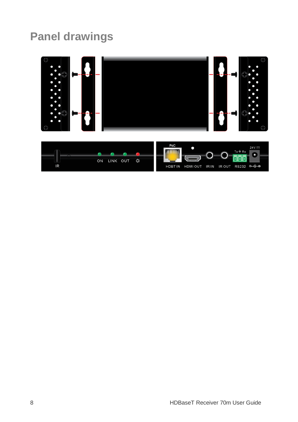## **Panel drawings**



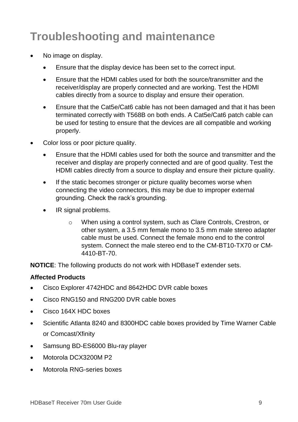## **Troubleshooting and maintenance**

- No image on display.
	- Ensure that the display device has been set to the correct input.
	- Ensure that the HDMI cables used for both the source/transmitter and the receiver/display are properly connected and are working. Test the HDMI cables directly from a source to display and ensure their operation.
	- Ensure that the Cat5e/Cat6 cable has not been damaged and that it has been terminated correctly with T568B on both ends. A Cat5e/Cat6 patch cable can be used for testing to ensure that the devices are all compatible and working properly.
- Color loss or poor picture quality.
	- Ensure that the HDMI cables used for both the source and transmitter and the receiver and display are properly connected and are of good quality. Test the HDMI cables directly from a source to display and ensure their picture quality.
	- If the static becomes stronger or picture quality becomes worse when connecting the video connectors, this may be due to improper external grounding. Check the rack's grounding.
	- IR signal problems.
		- o When using a control system, such as Clare Controls, Crestron, or other system, a 3.5 mm female mono to 3.5 mm male stereo adapter cable must be used. Connect the female mono end to the control system. Connect the male stereo end to the CM-BT10-TX70 or CM-4410-BT-70.

**NOTICE**: The following products do not work with HDBaseT extender sets.

#### **Affected Products**

- Cisco Explorer 4742HDC and 8642HDC DVR cable boxes
- Cisco RNG150 and RNG200 DVR cable boxes
- Cisco 164X HDC boxes
- Scientific Atlanta 8240 and 8300HDC cable boxes provided by Time Warner Cable or Comcast/Xfinity
- Samsung BD-ES6000 Blu-ray player
- Motorola DCX3200M P2
- Motorola RNG-series boxes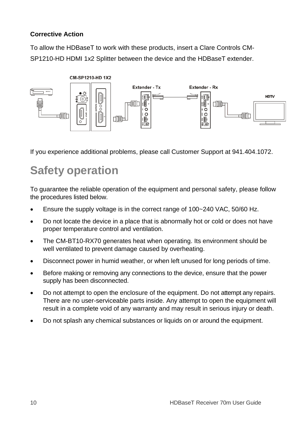#### **Corrective Action**

To allow the HDBaseT to work with these products, insert a Clare Controls CM-SP1210-HD HDMI 1x2 Splitter between the device and the HDBaseT extender.



If you experience additional problems, please call Customer Support at 941.404.1072.

## **Safety operation**

To guarantee the reliable operation of the equipment and personal safety, please follow the procedures listed below.

- Ensure the supply voltage is in the correct range of 100~240 VAC, 50/60 Hz.
- Do not locate the device in a place that is abnormally hot or cold or does not have proper temperature control and ventilation.
- The CM-BT10-RX70 generates heat when operating. Its environment should be well ventilated to prevent damage caused by overheating.
- Disconnect power in humid weather, or when left unused for long periods of time.
- Before making or removing any connections to the device, ensure that the power supply has been disconnected.
- Do not attempt to open the enclosure of the equipment. Do not attempt any repairs. There are no user-serviceable parts inside. Any attempt to open the equipment will result in a complete void of any warranty and may result in serious injury or death.
- Do not splash any chemical substances or liquids on or around the equipment.